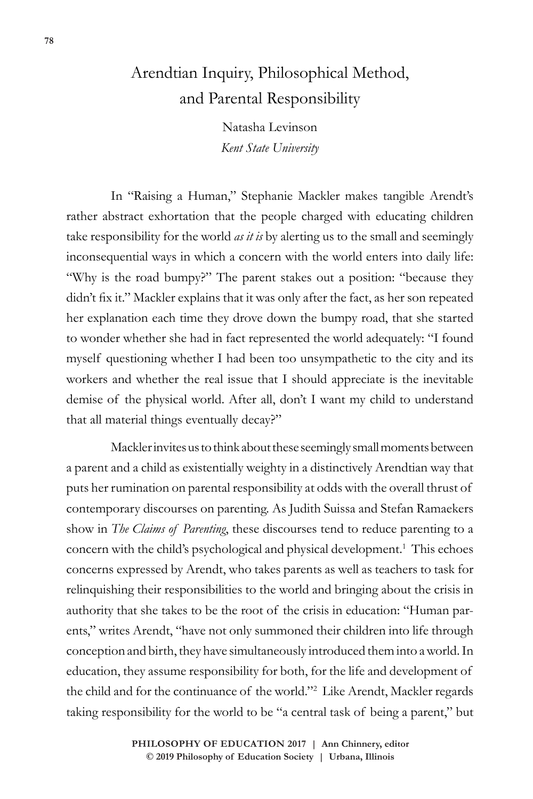## Arendtian Inquiry, Philosophical Method, and Parental Responsibility

Natasha Levinson *Kent State University*

In "Raising a Human," Stephanie Mackler makes tangible Arendt's rather abstract exhortation that the people charged with educating children take responsibility for the world *as it is* by alerting us to the small and seemingly inconsequential ways in which a concern with the world enters into daily life: "Why is the road bumpy?" The parent stakes out a position: "because they didn't fix it." Mackler explains that it was only after the fact, as her son repeated her explanation each time they drove down the bumpy road, that she started to wonder whether she had in fact represented the world adequately: "I found myself questioning whether I had been too unsympathetic to the city and its workers and whether the real issue that I should appreciate is the inevitable demise of the physical world. After all, don't I want my child to understand that all material things eventually decay?"

Mackler invites us to think about these seemingly small moments between a parent and a child as existentially weighty in a distinctively Arendtian way that puts her rumination on parental responsibility at odds with the overall thrust of contemporary discourses on parenting. As Judith Suissa and Stefan Ramaekers show in *The Claims of Parenting*, these discourses tend to reduce parenting to a concern with the child's psychological and physical development.<sup>1</sup> This echoes concerns expressed by Arendt, who takes parents as well as teachers to task for relinquishing their responsibilities to the world and bringing about the crisis in authority that she takes to be the root of the crisis in education: "Human parents," writes Arendt, "have not only summoned their children into life through conception and birth, they have simultaneously introduced them into a world. In education, they assume responsibility for both, for the life and development of the child and for the continuance of the world."<sup>2</sup> Like Arendt, Mackler regards taking responsibility for the world to be "a central task of being a parent," but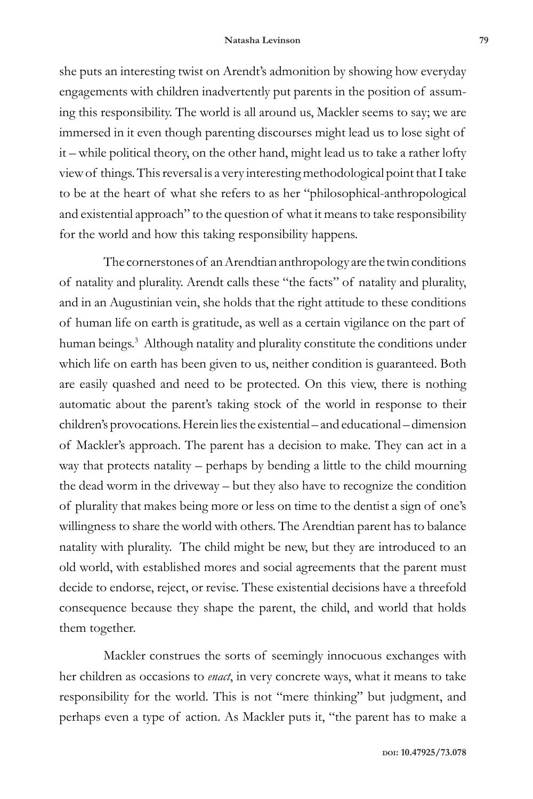she puts an interesting twist on Arendt's admonition by showing how everyday engagements with children inadvertently put parents in the position of assuming this responsibility. The world is all around us, Mackler seems to say; we are immersed in it even though parenting discourses might lead us to lose sight of it – while political theory, on the other hand, might lead us to take a rather lofty view of things. This reversal is a very interesting methodological point that I take to be at the heart of what she refers to as her "philosophical-anthropological and existential approach" to the question of what it means to take responsibility for the world and how this taking responsibility happens.

The cornerstones of an Arendtian anthropology are the twin conditions of natality and plurality. Arendt calls these "the facts" of natality and plurality, and in an Augustinian vein, she holds that the right attitude to these conditions of human life on earth is gratitude, as well as a certain vigilance on the part of human beings.<sup>3</sup> Although natality and plurality constitute the conditions under which life on earth has been given to us, neither condition is guaranteed. Both are easily quashed and need to be protected. On this view, there is nothing automatic about the parent's taking stock of the world in response to their children's provocations. Herein lies the existential – and educational – dimension of Mackler's approach. The parent has a decision to make. They can act in a way that protects natality – perhaps by bending a little to the child mourning the dead worm in the driveway – but they also have to recognize the condition of plurality that makes being more or less on time to the dentist a sign of one's willingness to share the world with others. The Arendtian parent has to balance natality with plurality. The child might be new, but they are introduced to an old world, with established mores and social agreements that the parent must decide to endorse, reject, or revise. These existential decisions have a threefold consequence because they shape the parent, the child, and world that holds them together.

Mackler construes the sorts of seemingly innocuous exchanges with her children as occasions to *enact*, in very concrete ways, what it means to take responsibility for the world. This is not "mere thinking" but judgment, and perhaps even a type of action. As Mackler puts it, "the parent has to make a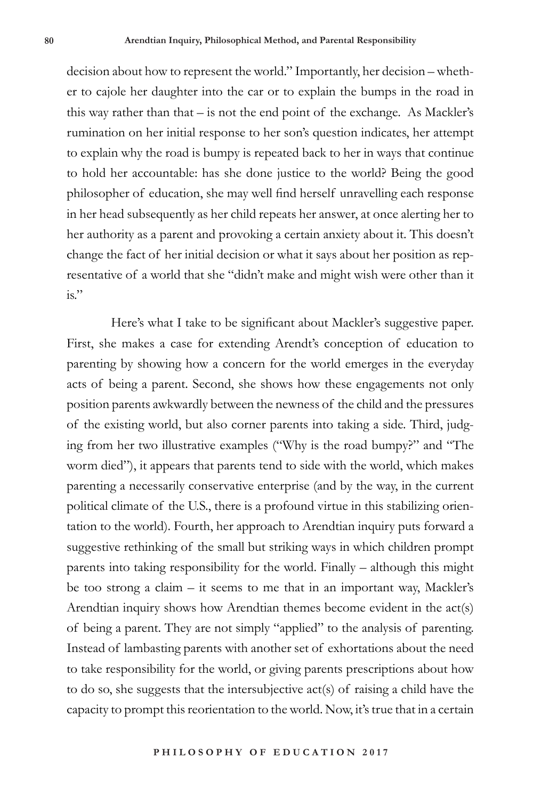decision about how to represent the world." Importantly, her decision – whether to cajole her daughter into the car or to explain the bumps in the road in this way rather than that – is not the end point of the exchange. As Mackler's rumination on her initial response to her son's question indicates, her attempt to explain why the road is bumpy is repeated back to her in ways that continue to hold her accountable: has she done justice to the world? Being the good philosopher of education, she may well find herself unravelling each response in her head subsequently as her child repeats her answer, at once alerting her to her authority as a parent and provoking a certain anxiety about it. This doesn't change the fact of her initial decision or what it says about her position as representative of a world that she "didn't make and might wish were other than it  $is.$ "

Here's what I take to be significant about Mackler's suggestive paper. First, she makes a case for extending Arendt's conception of education to parenting by showing how a concern for the world emerges in the everyday acts of being a parent. Second, she shows how these engagements not only position parents awkwardly between the newness of the child and the pressures of the existing world, but also corner parents into taking a side. Third, judging from her two illustrative examples ("Why is the road bumpy?" and "The worm died"), it appears that parents tend to side with the world, which makes parenting a necessarily conservative enterprise (and by the way, in the current political climate of the U.S., there is a profound virtue in this stabilizing orientation to the world). Fourth, her approach to Arendtian inquiry puts forward a suggestive rethinking of the small but striking ways in which children prompt parents into taking responsibility for the world. Finally – although this might be too strong a claim – it seems to me that in an important way, Mackler's Arendtian inquiry shows how Arendtian themes become evident in the act(s) of being a parent. They are not simply "applied" to the analysis of parenting. Instead of lambasting parents with another set of exhortations about the need to take responsibility for the world, or giving parents prescriptions about how to do so, she suggests that the intersubjective act(s) of raising a child have the capacity to prompt this reorientation to the world. Now, it's true that in a certain